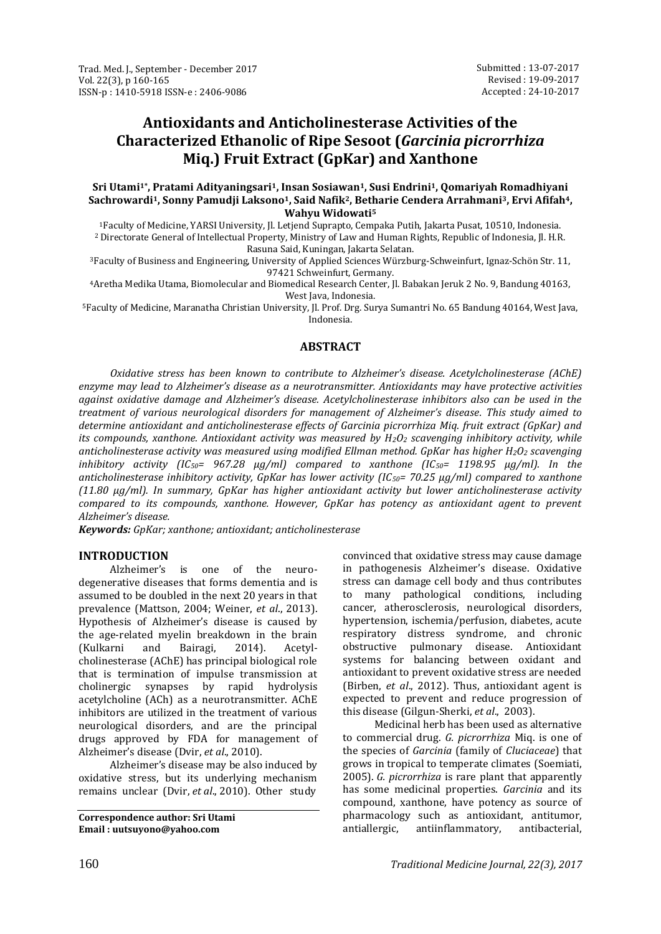# **Antioxidants and Anticholinesterase Activities of the Characterized Ethanolic of Ripe Sesoot (***Garcinia picrorrhiza*  **Miq.) Fruit Extract (GpKar) and Xanthone**

**Sri Utami1\* , Pratami Adityaningsari1, Insan Sosiawan1, Susi Endrini1, Qomariyah Romadhiyani Sachrowardi1, Sonny Pamudji Laksono1, Said Nafik2, Betharie Cendera Arrahmani3, Ervi Afifah4, Wahyu Widowati<sup>5</sup>**

<sup>1</sup>Faculty of Medicine, YARSI University, Jl. Letjend Suprapto, Cempaka Putih, Jakarta Pusat, 10510, Indonesia. <sup>2</sup>Directorate General of Intellectual Property, Ministry of Law and Human Rights, Republic of Indonesia, Jl. H.R. Rasuna Said, Kuningan, Jakarta Selatan.

<sup>3</sup>Faculty of Business and Engineering, University of Applied Sciences Würzburg-Schweinfurt, Ignaz-Schön Str. 11, 97421 Schweinfurt, Germany.

<sup>4</sup>Aretha Medika Utama, Biomolecular and Biomedical Research Center, Jl. Babakan Jeruk 2 No. 9, Bandung 40163, West Java, Indonesia.

<sup>5</sup>Faculty of Medicine, Maranatha Christian University, Jl. Prof. Drg. Surya Sumantri No. 65 Bandung 40164, West Java, Indonesia.

# **ABSTRACT**

*Oxidative stress has been known to contribute to Alzheimer's disease. Acetylcholinesterase (AChE) enzyme may lead to Alzheimer's disease as a neurotransmitter. Antioxidants may have protective activities against oxidative damage and Alzheimer's disease. Acetylcholinesterase inhibitors also can be used in the treatment of various neurological disorders for management of Alzheimer's disease. This study aimed to determine antioxidant and anticholinesterase effects of Garcinia picrorrhiza Miq. fruit extract (GpKar) and its compounds, xanthone. Antioxidant activity was measured by H2O<sup>2</sup> scavenging inhibitory activity, while anticholinesterase activity was measured using modified Ellman method. GpKar has higher H2O<sup>2</sup> scavenging inhibitory activity (IC50= 967.28 µg/ml) compared to xanthone (IC50= 1198.95 µg/ml). In the anticholinesterase inhibitory activity, GpKar has lower activity (IC50= 70.25 µg/ml) compared to xanthone (11.80 µg/ml). In summary, GpKar has higher antioxidant activity but lower anticholinesterase activity compared to its compounds, xanthone. However, GpKar has potency as antioxidant agent to prevent Alzheimer's disease.*

*Keywords: GpKar; xanthone; antioxidant; anticholinesterase*

# **INTRODUCTION**

Alzheimer's is one of the neurodegenerative diseases that forms dementia and is assumed to be doubled in the next 20 years in that prevalence (Mattson, 2004; Weiner, *et al*., 2013). Hypothesis of Alzheimer's disease is caused by the age-related myelin breakdown in the brain (Kulkarni and Bairagi, 2014). Acetylcholinesterase (AChE) has principal biological role that is termination of impulse transmission at cholinergic synapses by rapid hydrolysis acetylcholine (ACh) as a neurotransmitter. AChE inhibitors are utilized in the treatment of various neurological disorders, and are the principal drugs approved by FDA for management of Alzheimer's disease (Dvir, *et al*., 2010).

Alzheimer's disease may be also induced by oxidative stress, but its underlying mechanism remains unclear (Dvir, *et al*., 2010). Other study

**Correspondence author: Sri Utami Email : uutsuyono@yahoo.com**

convinced that oxidative stress may cause damage in pathogenesis Alzheimer's disease. Oxidative stress can damage cell body and thus contributes to many pathological conditions, including cancer, atherosclerosis, neurological disorders, hypertension, ischemia/perfusion, diabetes, acute respiratory distress syndrome, and chronic obstructive pulmonary disease. Antioxidant systems for balancing between oxidant and antioxidant to prevent oxidative stress are needed (Birben, *et al*., 2012). Thus, antioxidant agent is expected to prevent and reduce progression of this disease (Gilgun-Sherki, *et al*., 2003).

Medicinal herb has been used as alternative to commercial drug. *G. picrorrhiza* Miq. is one of the species of *Garcinia* (family of *Cluciaceae*) that grows in tropical to temperate climates (Soemiati, 2005). *G. picrorrhiza* is rare plant that apparently has some medicinal properties. *Garcinia* and its compound, xanthone, have potency as source of pharmacology such as antioxidant, antitumor, antiallergic, antiinflammatory, antibacterial,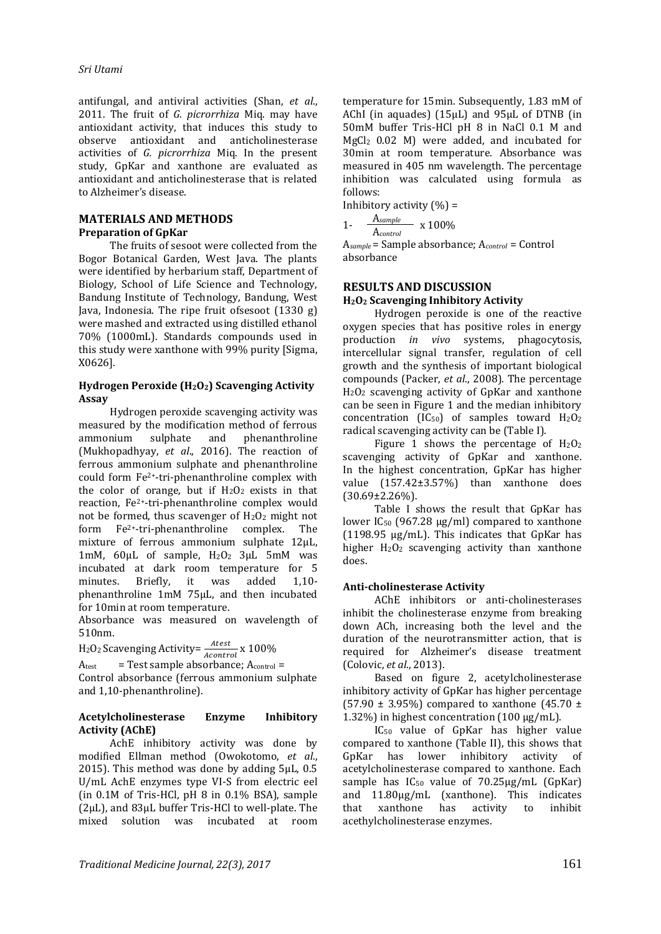antifungal, and antiviral activities (Shan, *et al*., 2011. The fruit of *G. picrorrhiza* Miq. may have antioxidant activity, that induces this study to observe antioxidant and anticholinesterase activities of *G. picrorrhiza* Miq. In the present study, GpKar and xanthone are evaluated as antioxidant and anticholinesterase that is related to Alzheimer's disease.

### **MATERIALS AND METHODS Preparation of GpKar**

The fruits of sesoot were collected from the Bogor Botanical Garden, West Java. The plants were identified by herbarium staff, Department of Biology, School of Life Science and Technology, Bandung Institute of Technology, Bandung, West Java, Indonesia. The ripe fruit ofsesoot (1330 g) were mashed and extracted using distilled ethanol 70% (1000mL). Standards compounds used in this study were xanthone with 99% purity [Sigma, X0626].

### **Hydrogen Peroxide (H2O2) Scavenging Activity Assay**

Hydrogen peroxide scavenging activity was measured by the modification method of ferrous ammonium sulphate and phenanthroline (Mukhopadhyay, *et al*., 2016). The reaction of ferrous ammonium sulphate and phenanthroline could form Fe2+-tri-phenanthroline complex with the color of orange, but if  $H_2O_2$  exists in that reaction, Fe2+-tri-phenanthroline complex would not be formed, thus scavenger of  $H_2O_2$  might not form Fe2+-tri-phenanthroline complex. The mixture of ferrous ammonium sulphate 12µL, 1mM, 60µL of sample, H2O2 3µL 5mM was incubated at dark room temperature for 5 minutes. Briefly, it was added 1,10 phenanthroline 1mM 75µL, and then incubated for 10min at room temperature.

Absorbance was measured on wavelength of 510nm.

 $\text{H}_{2}\text{O}_{2}$  Scavenging Activity=  $\frac{Atest}{Acontrol}$  x 100%

 $A_{\text{test}}$  = Test sample absorbance;  $A_{\text{control}} =$ 

Control absorbance (ferrous ammonium sulphate and 1,10-phenanthroline).

### **Acetylcholinesterase Enzyme Inhibitory Activity (AChE)**

AchE inhibitory activity was done by modified Ellman method (Owokotomo, *et al*., 2015). This method was done by adding  $5\mu$ L, 0.5 U/mL AchE enzymes type VI-S from electric eel (in 0.1M of Tris-HCl, pH 8 in 0.1% BSA), sample (2µL), and 83µL buffer Tris-HCl to well-plate. The mixed solution was incubated at room temperature for 15min. Subsequently, 1.83 mM of AChI (in aquades) (15µL) and 95µL of DTNB (in 50mM buffer Tris-HCl pH 8 in NaCl 0.1 M and MgCl2 0.02 M) were added, and incubated for 30min at room temperature. Absorbance was measured in 405 nm wavelength. The percentage inhibition was calculated using formula as follows:

Inhibitory activity  $(\% )$  =

$$
1 - \frac{A_{sample}}{A_{control}} \times 100\%
$$

A*sample* = Sample absorbance; A*control* = Control absorbance

# **RESULTS AND DISCUSSION**

# **H2O<sup>2</sup> Scavenging Inhibitory Activity**

Hydrogen peroxide is one of the reactive oxygen species that has positive roles in energy production *in vivo* systems, phagocytosis, intercellular signal transfer, regulation of cell growth and the synthesis of important biological compounds (Packer, *et al*., 2008). The percentage H2O<sup>2</sup> scavenging activity of GpKar and xanthone can be seen in Figure 1 and the median inhibitory concentration (IC<sub>50</sub>) of samples toward  $H_2O_2$ radical scavenging activity can be (Table I).

Figure 1 shows the percentage of  $H_2O_2$ scavenging activity of GpKar and xanthone. In the highest concentration, GpKar has higher value (157.42±3.57%) than xanthone does (30.69±2.26%).

Table I shows the result that GpKar has lower IC<sub>50</sub> (967.28 μg/ml) compared to xanthone (1198.95 µg/mL). This indicates that GpKar has higher  $H_2O_2$  scavenging activity than xanthone does.

# **Anti-cholinesterase Activity**

AChE inhibitors or anti-cholinesterases inhibit the cholinesterase enzyme from breaking down ACh, increasing both the level and the duration of the neurotransmitter action, that is required for Alzheimer's disease treatment (Colovic, *et al*., 2013).

Based on figure 2, acetylcholinesterase inhibitory activity of GpKar has higher percentage (57.90  $\pm$  3.95%) compared to xanthone (45.70  $\pm$ 1.32%) in highest concentration (100 µg/mL).

IC50 value of GpKar has higher value compared to xanthone (Table II), this shows that GpKar has lower inhibitory activity of acetylcholinesterase compared to xanthone. Each sample has  $IC_{50}$  value of  $70.25 \mu g/mL$  (GpKar) and 11.80µg/mL (xanthone). This indicates that xanthone has activity to inhibit acethylcholinesterase enzymes.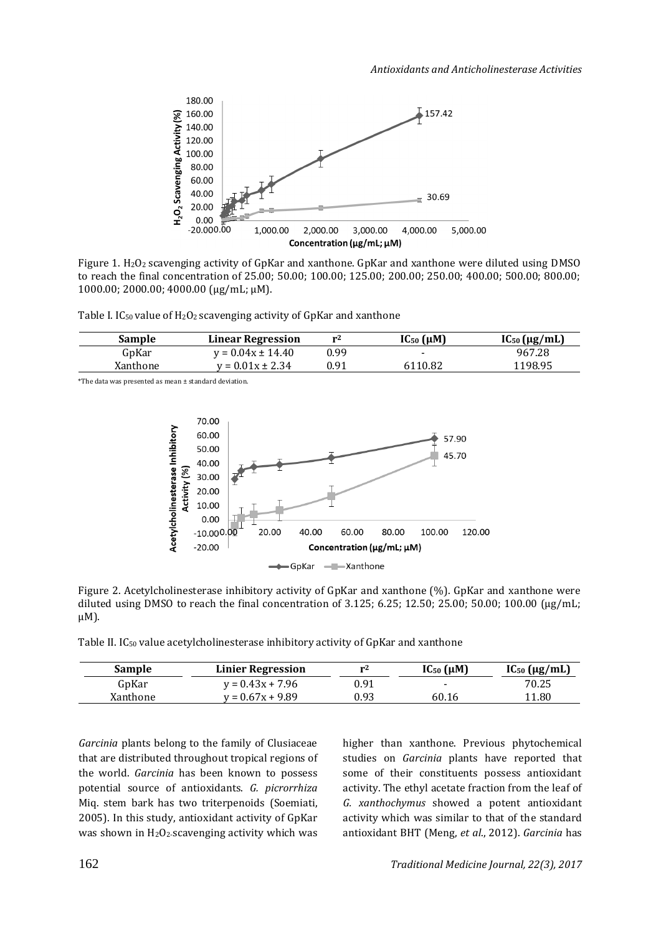

Figure 1. H2O2 scavenging activity of GpKar and xanthone. GpKar and xanthone were diluted using DMSO to reach the final concentration of 25.00; 50.00; 100.00; 125.00; 200.00; 250.00; 400.00; 500.00; 800.00; 1000.00; 2000.00; 4000.00 (μg/mL; µM).

Table I. IC<sub>50</sub> value of H<sub>2</sub>O<sub>2</sub> scavenging activity of GpKar and xanthone

| Sample   | <b>Linear Regression</b> | r4   | $IC_{50}$ ( $\mu$ M)     | $IC_{50}$ (µg/mL) |
|----------|--------------------------|------|--------------------------|-------------------|
| GpKar    | $v = 0.04x \pm 14.40$    | 0.99 | $\overline{\phantom{0}}$ | 967.28            |
| Xanthone | $v = 0.01x \pm 2.34$     | 0.91 | 6110.82                  | 1198.95           |

\*The data was presented as mean ± standard deviation.



Figure 2. Acetylcholinesterase inhibitory activity of GpKar and xanthone (%). GpKar and xanthone were diluted using DMSO to reach the final concentration of 3.125; 6.25; 12.50; 25.00; 50.00; 100.00  $\mu$ g/mL;  $\mu$ M).

Table II. IC<sup>50</sup> value acetylcholinesterase inhibitory activity of GpKar and xanthone

| Sample   | <b>Linier Regression</b> | r۷   | $IC_{50}(\mu M)$ | $IC_{50}$ ( $\mu$ g/mL) |
|----------|--------------------------|------|------------------|-------------------------|
| GpKar    | $v = 0.43x + 7.96$       | 0.91 | -                | 70.25                   |
| Xanthone | $v = 0.67x + 9.89$       | 0.93 | 60.16            | 11.80                   |

*Garcinia* plants belong to the family of Clusiaceae that are distributed throughout tropical regions of the world. *Garcinia* has been known to possess potential source of antioxidants. *G. picrorrhiza*  Miq. stem bark has two triterpenoids (Soemiati, 2005). In this study, antioxidant activity of GpKar was shown in  $H_2O_2$ -scavenging activity which was higher than xanthone. Previous phytochemical studies on *Garcinia* plants have reported that some of their constituents possess antioxidant activity. The ethyl acetate fraction from the leaf of *G. xanthochymus* showed a potent antioxidant activity which was similar to that of the standard antioxidant BHT (Meng, *et al*., 2012). *Garcinia* has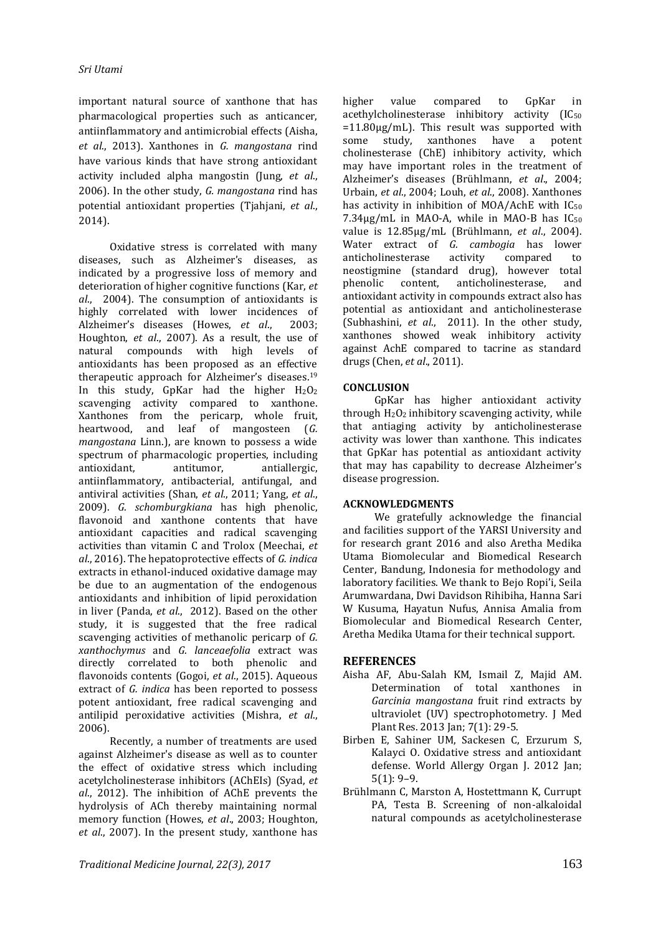important natural source of xanthone that has pharmacological properties such as anticancer, antiinflammatory and antimicrobial effects (Aisha, *et al*., 2013). Xanthones in *G. mangostana* rind have various kinds that have strong antioxidant activity included alpha mangostin (Jung, *et al*., 2006). In the other study, *G. mangostana* rind has potential antioxidant properties (Tjahjani, *et al*., 2014).

Oxidative stress is correlated with many diseases, such as Alzheimer's diseases, as indicated by a progressive loss of memory and deterioration of higher cognitive functions (Kar, *et al*., 2004). The consumption of antioxidants is highly correlated with lower incidences of Alzheimer's diseases (Howes, *et al*., 2003; Houghton, *et al*., 2007). As a result, the use of natural compounds with high levels of antioxidants has been proposed as an effective therapeutic approach for Alzheimer's diseases.<sup>19</sup> In this study, GpKar had the higher  $H_2O_2$ scavenging activity compared to xanthone. Xanthones from the pericarp, whole fruit, heartwood, and leaf of mangosteen (*G. mangostana* Linn.), are known to possess a wide spectrum of pharmacologic properties, including antioxidant, antitumor, antiallergic, antiinflammatory, antibacterial, antifungal, and antiviral activities (Shan, *et al*., 2011; Yang, *et al*., 2009). *G. schomburgkiana* has high phenolic, flavonoid and xanthone contents that have antioxidant capacities and radical scavenging activities than vitamin C and Trolox (Meechai, *et al*., 2016). The hepatoprotective effects of *G. indica* extracts in ethanol-induced oxidative damage may be due to an augmentation of the endogenous antioxidants and inhibition of lipid peroxidation in liver (Panda, *et al*., 2012). Based on the other study, it is suggested that the free radical scavenging activities of methanolic pericarp of *G. xanthochymus* and *G. lanceaefolia* extract was directly correlated to both phenolic and flavonoids contents (Gogoi, *et al*., 2015). Aqueous extract of *G. indica* has been reported to possess potent antioxidant, free radical scavenging and antilipid peroxidative activities (Mishra, *et al*., 2006).

Recently, a number of treatments are used against Alzheimer's disease as well as to counter the effect of oxidative stress which including acetylcholinesterase inhibitors (AChEIs) (Syad, *et al*., 2012). The inhibition of AChE prevents the hydrolysis of ACh thereby maintaining normal memory function (Howes, *et al*., 2003; Houghton, *et al*., 2007). In the present study, xanthone has

higher value compared to GpKar in acethylcholinesterase inhibitory activity  $[IC_{50}$  $=11.80\mu g/mL$ ). This result was supported with some study, xanthones have a potent cholinesterase (ChE) inhibitory activity, which may have important roles in the treatment of Alzheimer's diseases (Brühlmann, *et al*., 2004; Urbain, *et al*., 2004; Louh, *et al*., 2008). Xanthones has activity in inhibition of MOA/AchE with  $IC_{50}$ 7.34μg/mL in MAO-A, while in MAO-B has IC<sup>50</sup> value is 12.85μg/mL (Brühlmann, *et al*., 2004). Water extract of *G. cambogia* has lower anticholinesterase activity compared to neostigmine (standard drug), however total phenolic content, anticholinesterase, and antioxidant activity in compounds extract also has potential as antioxidant and anticholinesterase (Subhashini, *et al*., 2011). In the other study, xanthones showed weak inhibitory activity against AchE compared to tacrine as standard drugs (Chen, *et al*., 2011).

### **CONCLUSION**

GpKar has higher antioxidant activity through  $H_2O_2$  inhibitory scavenging activity, while that antiaging activity by anticholinesterase activity was lower than xanthone. This indicates that GpKar has potential as antioxidant activity that may has capability to decrease Alzheimer's disease progression.

### **ACKNOWLEDGMENTS**

We gratefully acknowledge the financial and facilities support of the YARSI University and for research grant 2016 and also Aretha Medika Utama Biomolecular and Biomedical Research Center, Bandung, Indonesia for methodology and laboratory facilities. We thank to Bejo Ropi'i, Seila Arumwardana, Dwi Davidson Rihibiha, Hanna Sari W Kusuma, Hayatun Nufus, Annisa Amalia from Biomolecular and Biomedical Research Center, Aretha Medika Utama for their technical support.

### **REFERENCES**

- Aisha AF, Abu-Salah KM, Ismail Z, Majid AM. Determination of total xanthones in *Garcinia mangostana* fruit rind extracts by ultraviolet (UV) spectrophotometry. J Med Plant Res. 2013 Jan; 7(1): 29-5.
- Birben E, Sahiner UM, Sackesen C, Erzurum S, Kalayci O. Oxidative stress and antioxidant defense. [World Allergy Organ J.](https://www.ncbi.nlm.nih.gov/pmc/articles/PMC3488923/) 2012 Jan; 5(1): 9–9.
- Brühlmann C, Marston A, Hostettmann K, Currupt PA, Testa B. Screening of non-alkaloidal natural compounds as acetylcholinesterase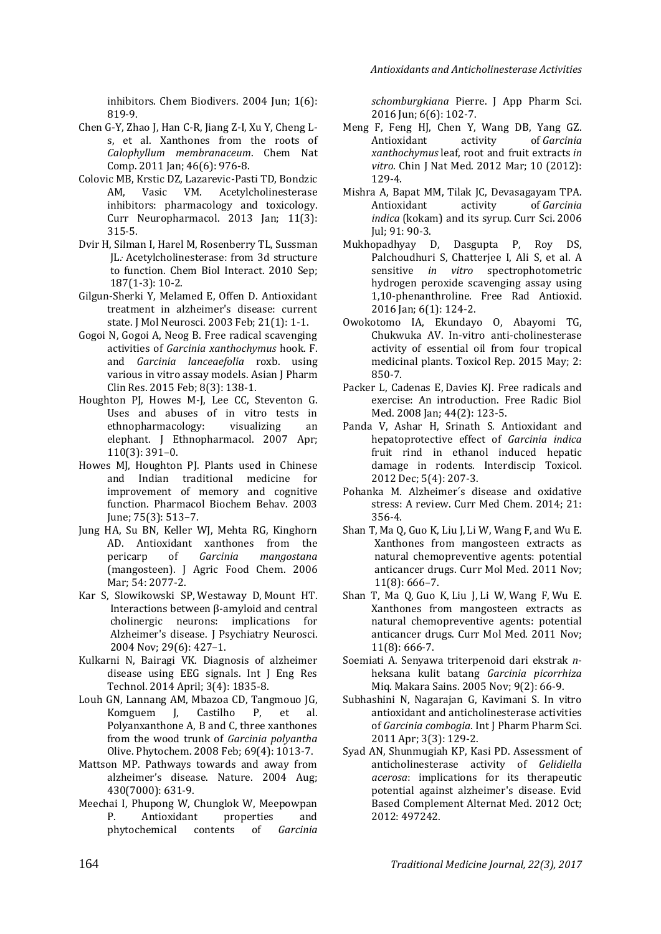inhibitors. Chem Biodivers. 2004 Jun; 1(6): 819-9.

- Chen G-Y, Zhao J, Han C-R, Jiang Z-I, Xu Y, Cheng Ls, et al. Xanthones from the roots of *Calophyllum membranaceum*. Chem Nat Comp. 2011 Jan; 46(6): 976-8.
- Colovic MB, Krstic DZ, Lazarevic-Pasti TD, Bondzic AM, Vasic VM. Acetylcholinesterase inhibitors: pharmacology and toxicology. [Curr Neuropharmacol.](https://www.ncbi.nlm.nih.gov/pmc/articles/PMC3648782/) 2013 Jan; 11(3): 315-5.
- [Dvir](https://www.ncbi.nlm.nih.gov/pubmed/?term=Dvir%20H%5BAuthor%5D&cauthor=true&cauthor_uid=20138030) H, [Silman](https://www.ncbi.nlm.nih.gov/pubmed/?term=Silman%20I%5BAuthor%5D&cauthor=true&cauthor_uid=20138030) I, [Harel](https://www.ncbi.nlm.nih.gov/pubmed/?term=Harel%20M%5BAuthor%5D&cauthor=true&cauthor_uid=20138030) M[, Rosenberry](https://www.ncbi.nlm.nih.gov/pubmed/?term=Rosenberry%20TL%5BAuthor%5D&cauthor=true&cauthor_uid=20138030) TL[, Sussman](https://www.ncbi.nlm.nih.gov/pubmed/?term=Sussman%20JL%5BAuthor%5D&cauthor=true&cauthor_uid=20138030) JL.. Acetylcholinesterase: from 3d structure to function. [Chem Biol Interact. 2010](https://www.ncbi.nlm.nih.gov/entrez/eutils/elink.fcgi?dbfrom=pubmed&retmode=ref&cmd=prlinks&id=20138030) Sep; [187\(1-3\):](https://www.ncbi.nlm.nih.gov/entrez/eutils/elink.fcgi?dbfrom=pubmed&retmode=ref&cmd=prlinks&id=20138030) 10-2.
- Gilgun-Sherki Y, Melamed E, Offen D. Antioxidant treatment in alzheimer's disease: current state. [J Mol Neurosci.](https://www.ncbi.nlm.nih.gov/pubmed/14500988) 2003 Feb; 21(1): 1-1.
- Gogoi N, Gogoi A, Neog B. Free radical scavenging activities of *Garcinia xanthochymus* hook. F. and *Garcinia lanceaefolia* roxb. using various in vitro assay models. Asian J Pharm Clin Res. 2015 Feb; 8(3): 138-1.
- Houghton PJ, Howes M-J, Lee CC, Steventon G. Uses and abuses of in vitro tests in ethnopharmacology: visualizing an elephant. J Ethnopharmacol. 2007 Apr; 110(3): 391–0.
- Howes MJ, Houghton PJ. Plants used in Chinese and Indian traditional medicine for improvement of memory and cognitive function. Pharmacol Biochem Behav. 2003 June; 75(3): 513–7.
- Jung HA, Su BN, Keller WJ, Mehta RG, Kinghorn AD. Antioxidant xanthones from the pericarp of *Garcinia mangostana*  (mangosteen). J Agric Food Chem. 2006 Mar; 54: 2077-2.
- [Kar](https://www.ncbi.nlm.nih.gov/pubmed/?term=Kar%20S%5BAuthor%5D&cauthor=true&cauthor_uid=15644984) S, [Slowikowski SP,](https://www.ncbi.nlm.nih.gov/pubmed/?term=Slowikowski%20SP%5BAuthor%5D&cauthor=true&cauthor_uid=15644984) [Westaway D,](https://www.ncbi.nlm.nih.gov/pubmed/?term=Westaway%20D%5BAuthor%5D&cauthor=true&cauthor_uid=15644984) [Mount HT.](https://www.ncbi.nlm.nih.gov/pubmed/?term=Mount%20HT%5BAuthor%5D&cauthor=true&cauthor_uid=15644984) Interactions between β-amyloid and central cholinergic neurons: implications for Alzheimer's disease. [J Psychiatry Neurosci.](https://www.ncbi.nlm.nih.gov/pmc/articles/PMC524960/) 2004 Nov; 29(6): 427–1.
- Kulkarni N, Bairagi VK. Diagnosis of alzheimer disease using EEG signals. Int J Eng Res Technol. 2014 April; 3(4): 1835-8.
- Louh GN, Lannang AM, Mbazoa CD, Tangmouo JG, Komguem J, Castilho P, et al. Polyanxanthone A, B and C, three xanthones from the wood trunk of *Garcinia polyantha*  Olive. Phytochem. 2008 Feb; 69(4): 1013-7.
- Mattson MP. Pathways towards and away from alzheimer's disease. Nature. 2004 Aug; 430(7000): 631-9.
- Meechai I, Phupong W, Chunglok W, Meepowpan P. Antioxidant properties and phytochemical contents of *Garcinia*

*schomburgkiana* Pierre. J App Pharm Sci. 2016 Jun; 6(6): 102-7.

- Meng F, Feng HJ, Chen Y, Wang DB, Yang GZ. Antioxidant activity of *Garcinia xanthochymus* leaf, root and fruit extracts *in vitro.* Chin J Nat Med. 2012 Mar; 10 (2012): 129-4.
- Mishra A, Bapat MM, Tilak JC, Devasagayam TPA. Antioxidant activity of *Garcinia indica* (kokam) and its syrup. Curr Sci. 2006 Jul; 91: 90-3.
- Mukhopadhyay D, Dasgupta P, Roy DS, Palchoudhuri S, Chatterjee I, Ali S, et al. A sensitive *in vitro* spectrophotometric hydrogen peroxide scavenging assay using 1,10-phenanthroline. Free Rad Antioxid. 2016 Jan; 6(1): 124-2.
- Owokotomo IA, Ekundayo O, Abayomi TG, Chukwuka AV. In-vitro anti-cholinesterase activity of essential oil from four tropical medicinal plants. Toxicol Rep. 2015 May; 2: 850-7.
- Packer L, [Cadenas E,](https://www.ncbi.nlm.nih.gov/pubmed/?term=Cadenas%20E%5BAuthor%5D&cauthor=true&cauthor_uid=18191747) [Davies KJ.](https://www.ncbi.nlm.nih.gov/pubmed/?term=Davies%20KJ%5BAuthor%5D&cauthor=true&cauthor_uid=18191747) Free radicals and exercise: An introduction. Free Radic Biol Med. 2008 Jan; 44(2): 123-5.
- Panda V, Ashar H, Srinath S. Antioxidant and hepatoprotective effect of *Garcinia indica*  fruit rind in ethanol induced hepatic damage in rodents. Interdiscip Toxicol. 2012 Dec; 5(4): 207-3.
- Pohanka M. Alzheimer´s disease and oxidative stress: A review. Curr Med Chem. 2014; 21: 356-4.
- [Shan](https://www.ncbi.nlm.nih.gov/pubmed/?term=Shan%20T%5BAuthor%5D&cauthor=true&cauthor_uid=21902651) T, [Ma](https://www.ncbi.nlm.nih.gov/pubmed/?term=Ma%20Q%5BAuthor%5D&cauthor=true&cauthor_uid=21902651) Q, [Guo](https://www.ncbi.nlm.nih.gov/pubmed/?term=Guo%20K%5BAuthor%5D&cauthor=true&cauthor_uid=21902651) K, [Liu](https://www.ncbi.nlm.nih.gov/pubmed/?term=Liu%20J%5BAuthor%5D&cauthor=true&cauthor_uid=21902651) J, [Li](https://www.ncbi.nlm.nih.gov/pubmed/?term=Li%20W%5BAuthor%5D&cauthor=true&cauthor_uid=21902651) W, [Wang](https://www.ncbi.nlm.nih.gov/pubmed/?term=Wang%20F%5BAuthor%5D&cauthor=true&cauthor_uid=21902651) F, an[d Wu](https://www.ncbi.nlm.nih.gov/pubmed/?term=Wu%20E%5BAuthor%5D&cauthor=true&cauthor_uid=21902651) E. Xanthones from mangosteen extracts as natural chemopreventive agents: potential anticancer drugs. [Curr Mol Med. 2011](https://www.ncbi.nlm.nih.gov/entrez/eutils/elink.fcgi?dbfrom=pubmed&retmode=ref&cmd=prlinks&id=21902651) Nov; [11\(8\): 666](https://www.ncbi.nlm.nih.gov/entrez/eutils/elink.fcgi?dbfrom=pubmed&retmode=ref&cmd=prlinks&id=21902651)–7.
- Shan T, Ma Q, Guo K, Liu J, Li W, Wang F, Wu E. Xanthones from mangosteen extracts as natural chemopreventive agents: potential anticancer drugs. Curr Mol Med. 2011 Nov; 11(8): 666-7.
- Soemiati A. Senyawa triterpenoid dari ekstrak *n*heksana kulit batang *Garcinia picorrhiza*  Miq. Makara Sains. 2005 Nov; 9(2): 66-9.
- Subhashini N, Nagarajan G, Kavimani S. In vitro antioxidant and anticholinesterase activities of *Garcinia combogia*. Int J Pharm Pharm Sci. 2011 Apr; 3(3): 129-2.
- Syad AN, Shunmugiah KP, Kasi PD. Assessment of anticholinesterase activity of *Gelidiella acerosa*: implications for its therapeutic potential against alzheimer's disease. Evid Based Complement Alternat Med. 2012 Oct; 2012: 497242.